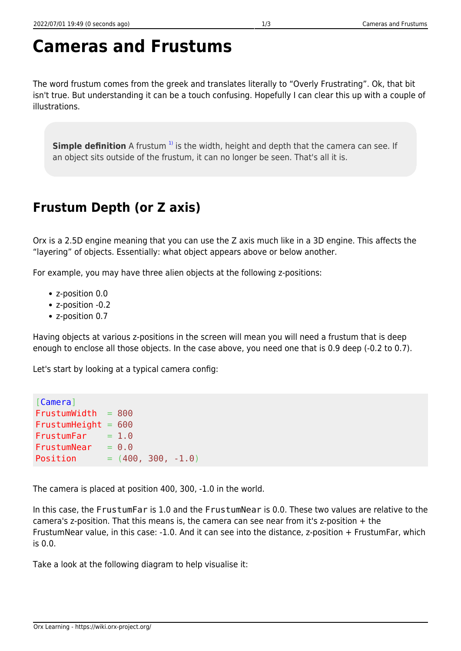## **Cameras and Frustums**

The word frustum comes from the greek and translates literally to "Overly Frustrating". Ok, that bit isn't true. But understanding it can be a touch confusing. Hopefully I can clear this up with a couple of illustrations.

**Simple definition** A frustum<sup>1</sup> is the width, height and depth that the camera can see. If an object sits outside of the frustum, it can no longer be seen. That's all it is.

## **Frustum Depth (or Z axis)**

Orx is a 2.5D engine meaning that you can use the Z axis much like in a 3D engine. This affects the "layering" of objects. Essentially: what object appears above or below another.

For example, you may have three alien objects at the following z-positions:

- z-position 0.0
- z-position -0.2
- z-position 0.7

Having objects at various z-positions in the screen will mean you will need a frustum that is deep enough to enclose all those objects. In the case above, you need one that is 0.9 deep (-0.2 to 0.7).

Let's start by looking at a typical camera config:

```
[Camera]
FrustumWidth = 800FrustumHeight = 600FrustumFar = <math>1.0</math>FrustumNear = 0.0Position = (400, 300, -1.0)
```
The camera is placed at position 400, 300, -1.0 in the world.

In this case, the FrustumFar is 1.0 and the FrustumNear is 0.0. These two values are relative to the camera's z-position. That this means is, the camera can see near from it's z-position + the FrustumNear value, in this case: -1.0. And it can see into the distance, z-position + FrustumFar, which is 0.0.

Take a look at the following diagram to help visualise it: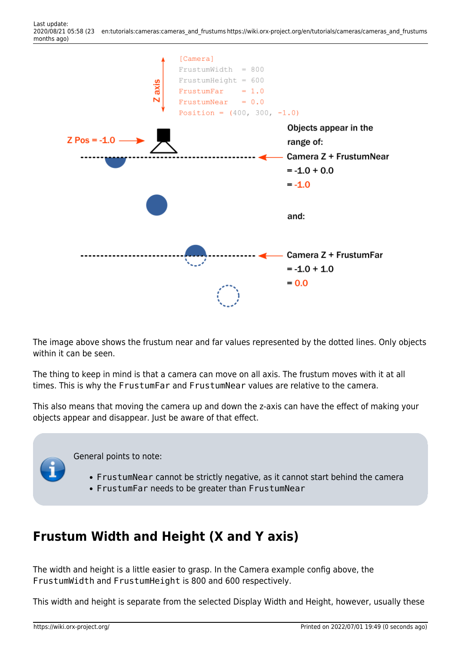

The image above shows the frustum near and far values represented by the dotted lines. Only objects within it can be seen.

The thing to keep in mind is that a camera can move on all axis. The frustum moves with it at all times. This is why the FrustumFar and FrustumNear values are relative to the camera.

This also means that moving the camera up and down the z-axis can have the effect of making your objects appear and disappear. Just be aware of that effect.

General points to note:

- FrustumNear cannot be strictly negative, as it cannot start behind the camera
- FrustumFar needs to be greater than FrustumNear

## **Frustum Width and Height (X and Y axis)**

The width and height is a little easier to grasp. In the Camera example config above, the FrustumWidth and FrustumHeight is 800 and 600 respectively.

This width and height is separate from the selected Display Width and Height, however, usually these